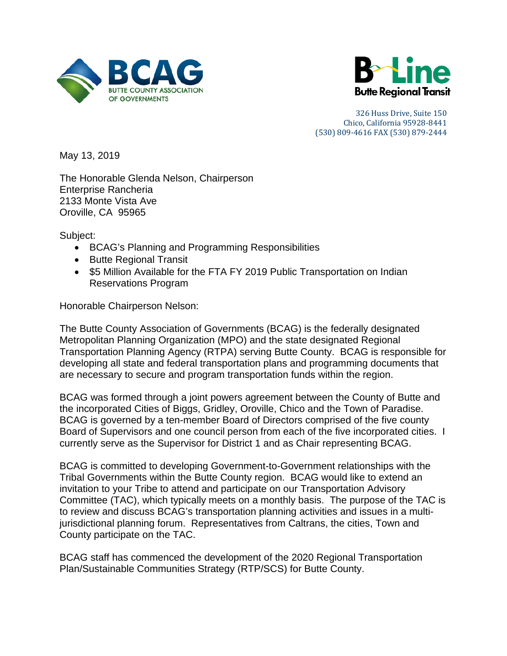



May 13, 2019

The Honorable Glenda Nelson, Chairperson Enterprise Rancheria 2133 Monte Vista Ave Oroville, CA 95965

Subject:

- BCAG's Planning and Programming Responsibilities
- Butte Regional Transit
- \$5 Million Available for the FTA FY 2019 Public Transportation on Indian Reservations Program

Honorable Chairperson Nelson:

The Butte County Association of Governments (BCAG) is the federally designated Metropolitan Planning Organization (MPO) and the state designated Regional Transportation Planning Agency (RTPA) serving Butte County. BCAG is responsible for developing all state and federal transportation plans and programming documents that are necessary to secure and program transportation funds within the region.

BCAG was formed through a joint powers agreement between the County of Butte and the incorporated Cities of Biggs, Gridley, Oroville, Chico and the Town of Paradise. BCAG is governed by a ten-member Board of Directors comprised of the five county Board of Supervisors and one council person from each of the five incorporated cities. I currently serve as the Supervisor for District 1 and as Chair representing BCAG.

BCAG is committed to developing Government-to-Government relationships with the Tribal Governments within the Butte County region. BCAG would like to extend an invitation to your Tribe to attend and participate on our Transportation Advisory Committee (TAC), which typically meets on a monthly basis. The purpose of the TAC is to review and discuss BCAG's transportation planning activities and issues in a multijurisdictional planning forum. Representatives from Caltrans, the cities, Town and County participate on the TAC.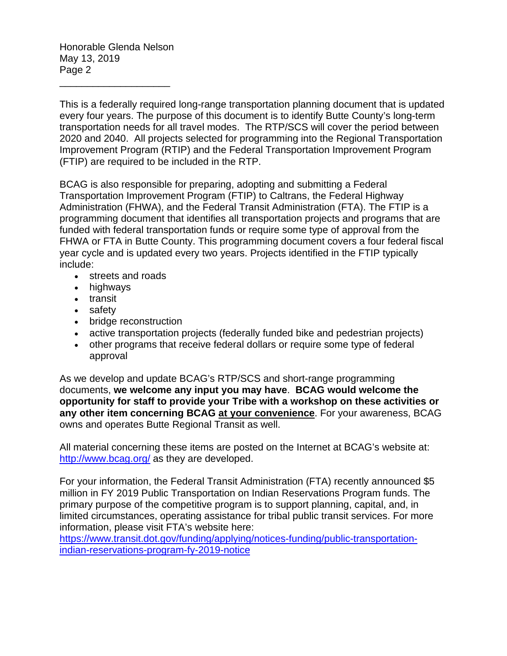Honorable Glenda Nelson May 13, 2019 Page 2

\_\_\_\_\_\_\_\_\_\_\_\_\_\_\_\_\_\_\_\_

This is a federally required long-range transportation planning document that is updated every four years. The purpose of this document is to identify Butte County's long-term transportation needs for all travel modes. The RTP/SCS will cover the period between 2020 and 2040. All projects selected for programming into the Regional Transportation Improvement Program (RTIP) and the Federal Transportation Improvement Program (FTIP) are required to be included in the RTP.

BCAG is also responsible for preparing, adopting and submitting a Federal Transportation Improvement Program (FTIP) to [Caltrans,](http://www.dot.ca.gov/) the Federal Highway Administration [\(FHWA\)](http://www.fhwa.dot.gov/tea21/), and the Federal Transit Administration [\(FTA\)](http://www.fta.dot.gov/). The FTIP is a programming document that identifies all transportation projects and programs that are funded with federal transportation funds or require some type of approval from the FHWA or FTA in Butte County. This programming document covers a four federal fiscal year cycle and is updated every two years. Projects identified in the FTIP typically include:

- streets and roads
- highways
- transit
- safety
- bridge reconstruction
- active transportation projects (federally funded bike and pedestrian projects)
- other programs that receive federal dollars or require some type of federal approval

As we develop and update BCAG's RTP/SCS and short-range programming documents, **we welcome any input you may have**. **BCAG would welcome the opportunity for staff to provide your Tribe with a workshop on these activities or any other item concerning BCAG at your convenience**. For your awareness, BCAG owns and operates Butte Regional Transit as well.

All material concerning these items are posted on the Internet at BCAG's website at: <http://www.bcag.org/> as they are developed.

For your information, the Federal Transit Administration (FTA) recently announced \$5 million in FY 2019 Public Transportation on Indian Reservations Program funds. The primary purpose of the competitive program is to support planning, capital, and, in limited circumstances, operating assistance for tribal public transit services. For more information, please visit FTA's website here: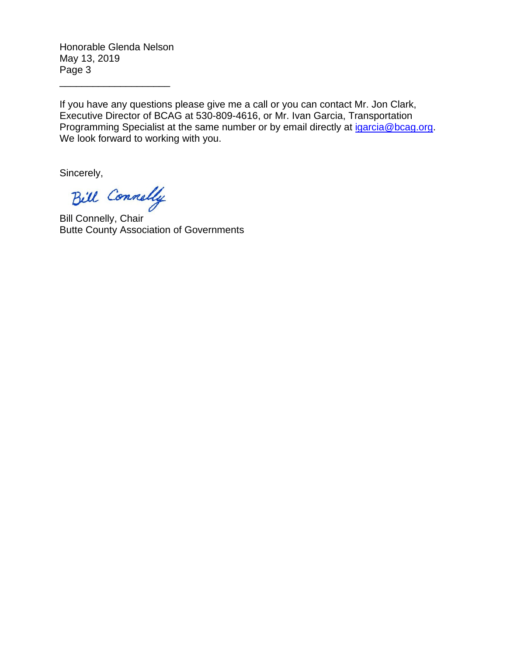Honorable Glenda Nelson May 13, 2019 Page 3

\_\_\_\_\_\_\_\_\_\_\_\_\_\_\_\_\_\_\_\_

If you have any questions please give me a call or you can contact Mr. Jon Clark, Executive Director of BCAG at 530-809-4616, or Mr. Ivan Garcia, Transportation Programming Specialist at the same number or by email directly at [igarcia@bcag.org.](mailto:igarcia@bcag.org) We look forward to working with you.

Bill Connelly

Bill Connelly, Chair Butte County Association of Governments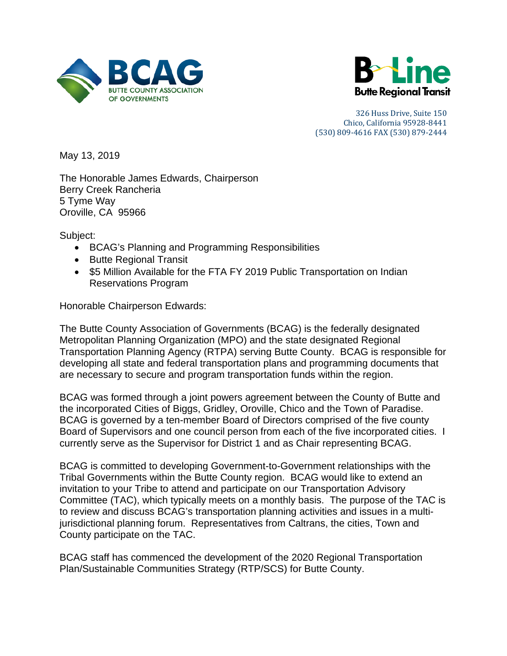



May 13, 2019

The Honorable James Edwards, Chairperson Berry Creek Rancheria 5 Tyme Way Oroville, CA 95966

Subject:

- BCAG's Planning and Programming Responsibilities
- Butte Regional Transit
- \$5 Million Available for the FTA FY 2019 Public Transportation on Indian Reservations Program

Honorable Chairperson Edwards:

The Butte County Association of Governments (BCAG) is the federally designated Metropolitan Planning Organization (MPO) and the state designated Regional Transportation Planning Agency (RTPA) serving Butte County. BCAG is responsible for developing all state and federal transportation plans and programming documents that are necessary to secure and program transportation funds within the region.

BCAG was formed through a joint powers agreement between the County of Butte and the incorporated Cities of Biggs, Gridley, Oroville, Chico and the Town of Paradise. BCAG is governed by a ten-member Board of Directors comprised of the five county Board of Supervisors and one council person from each of the five incorporated cities. I currently serve as the Supervisor for District 1 and as Chair representing BCAG.

BCAG is committed to developing Government-to-Government relationships with the Tribal Governments within the Butte County region. BCAG would like to extend an invitation to your Tribe to attend and participate on our Transportation Advisory Committee (TAC), which typically meets on a monthly basis. The purpose of the TAC is to review and discuss BCAG's transportation planning activities and issues in a multijurisdictional planning forum. Representatives from Caltrans, the cities, Town and County participate on the TAC.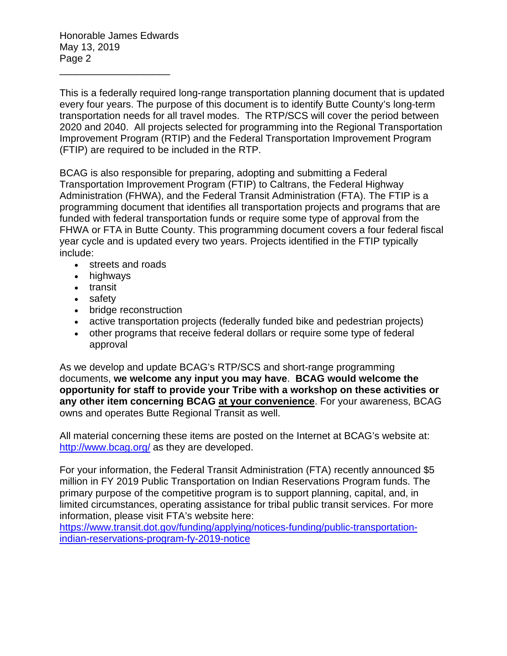Honorable James Edwards May 13, 2019 Page 2

\_\_\_\_\_\_\_\_\_\_\_\_\_\_\_\_\_\_\_\_

This is a federally required long-range transportation planning document that is updated every four years. The purpose of this document is to identify Butte County's long-term transportation needs for all travel modes. The RTP/SCS will cover the period between 2020 and 2040. All projects selected for programming into the Regional Transportation Improvement Program (RTIP) and the Federal Transportation Improvement Program (FTIP) are required to be included in the RTP.

BCAG is also responsible for preparing, adopting and submitting a Federal Transportation Improvement Program (FTIP) to [Caltrans,](http://www.dot.ca.gov/) the Federal Highway Administration [\(FHWA\)](http://www.fhwa.dot.gov/tea21/), and the Federal Transit Administration [\(FTA\)](http://www.fta.dot.gov/). The FTIP is a programming document that identifies all transportation projects and programs that are funded with federal transportation funds or require some type of approval from the FHWA or FTA in Butte County. This programming document covers a four federal fiscal year cycle and is updated every two years. Projects identified in the FTIP typically include:

- streets and roads
- highways
- transit
- safety
- bridge reconstruction
- active transportation projects (federally funded bike and pedestrian projects)
- other programs that receive federal dollars or require some type of federal approval

As we develop and update BCAG's RTP/SCS and short-range programming documents, **we welcome any input you may have**. **BCAG would welcome the opportunity for staff to provide your Tribe with a workshop on these activities or any other item concerning BCAG at your convenience**. For your awareness, BCAG owns and operates Butte Regional Transit as well.

All material concerning these items are posted on the Internet at BCAG's website at: <http://www.bcag.org/> as they are developed.

For your information, the Federal Transit Administration (FTA) recently announced \$5 million in FY 2019 Public Transportation on Indian Reservations Program funds. The primary purpose of the competitive program is to support planning, capital, and, in limited circumstances, operating assistance for tribal public transit services. For more information, please visit FTA's website here: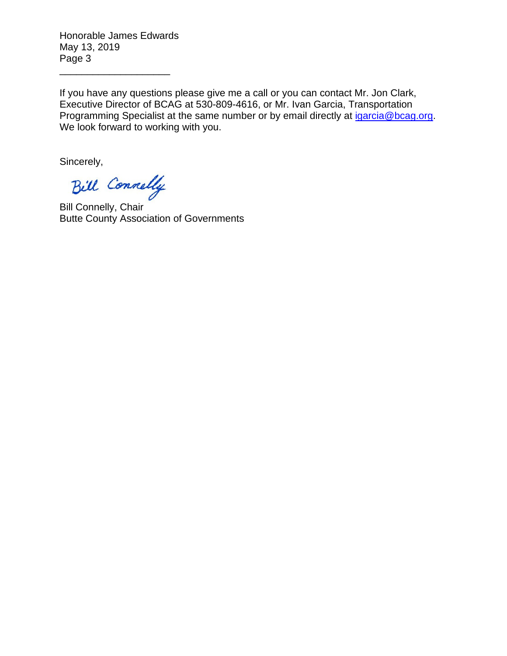Honorable James Edwards May 13, 2019 Page 3

\_\_\_\_\_\_\_\_\_\_\_\_\_\_\_\_\_\_\_\_

If you have any questions please give me a call or you can contact Mr. Jon Clark, Executive Director of BCAG at 530-809-4616, or Mr. Ivan Garcia, Transportation Programming Specialist at the same number or by email directly at [igarcia@bcag.org.](mailto:igarcia@bcag.org) We look forward to working with you.

Bill Connelly

Bill Connelly, Chair Butte County Association of Governments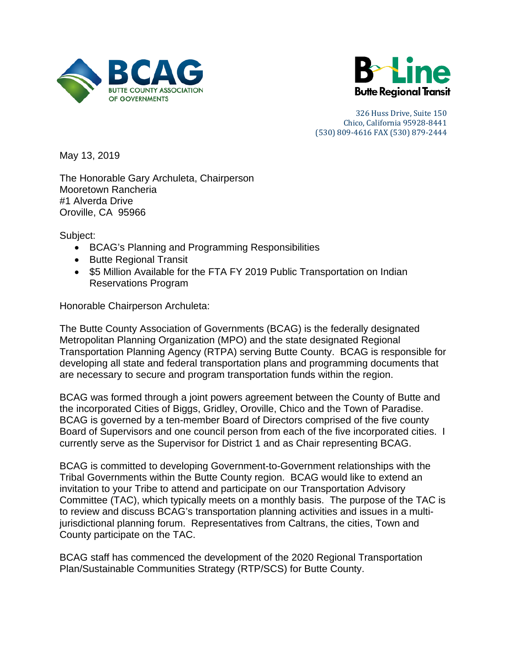



May 13, 2019

The Honorable Gary Archuleta, Chairperson Mooretown Rancheria #1 Alverda Drive Oroville, CA 95966

Subject:

- BCAG's Planning and Programming Responsibilities
- Butte Regional Transit
- \$5 Million Available for the FTA FY 2019 Public Transportation on Indian Reservations Program

Honorable Chairperson Archuleta:

The Butte County Association of Governments (BCAG) is the federally designated Metropolitan Planning Organization (MPO) and the state designated Regional Transportation Planning Agency (RTPA) serving Butte County. BCAG is responsible for developing all state and federal transportation plans and programming documents that are necessary to secure and program transportation funds within the region.

BCAG was formed through a joint powers agreement between the County of Butte and the incorporated Cities of Biggs, Gridley, Oroville, Chico and the Town of Paradise. BCAG is governed by a ten-member Board of Directors comprised of the five county Board of Supervisors and one council person from each of the five incorporated cities. I currently serve as the Supervisor for District 1 and as Chair representing BCAG.

BCAG is committed to developing Government-to-Government relationships with the Tribal Governments within the Butte County region. BCAG would like to extend an invitation to your Tribe to attend and participate on our Transportation Advisory Committee (TAC), which typically meets on a monthly basis. The purpose of the TAC is to review and discuss BCAG's transportation planning activities and issues in a multijurisdictional planning forum. Representatives from Caltrans, the cities, Town and County participate on the TAC.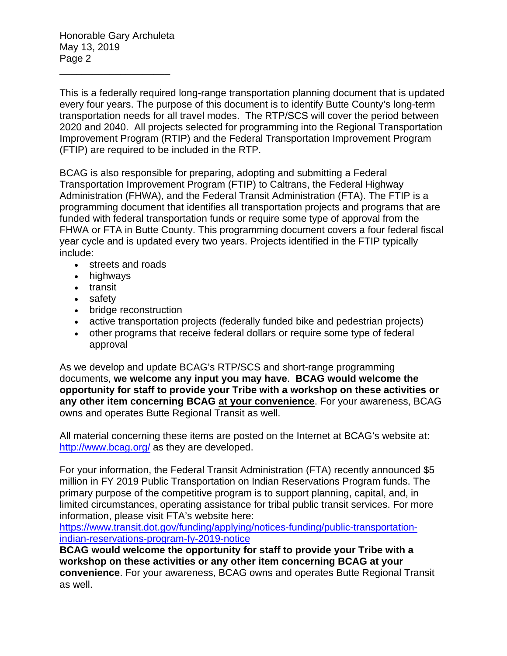Honorable Gary Archuleta May 13, 2019 Page 2

\_\_\_\_\_\_\_\_\_\_\_\_\_\_\_\_\_\_\_\_

This is a federally required long-range transportation planning document that is updated every four years. The purpose of this document is to identify Butte County's long-term transportation needs for all travel modes. The RTP/SCS will cover the period between 2020 and 2040. All projects selected for programming into the Regional Transportation Improvement Program (RTIP) and the Federal Transportation Improvement Program (FTIP) are required to be included in the RTP.

BCAG is also responsible for preparing, adopting and submitting a Federal Transportation Improvement Program (FTIP) to [Caltrans,](http://www.dot.ca.gov/) the Federal Highway Administration [\(FHWA\)](http://www.fhwa.dot.gov/tea21/), and the Federal Transit Administration [\(FTA\)](http://www.fta.dot.gov/). The FTIP is a programming document that identifies all transportation projects and programs that are funded with federal transportation funds or require some type of approval from the FHWA or FTA in Butte County. This programming document covers a four federal fiscal year cycle and is updated every two years. Projects identified in the FTIP typically include:

- streets and roads
- highways
- transit
- safety
- bridge reconstruction
- active transportation projects (federally funded bike and pedestrian projects)
- other programs that receive federal dollars or require some type of federal approval

As we develop and update BCAG's RTP/SCS and short-range programming documents, **we welcome any input you may have**. **BCAG would welcome the opportunity for staff to provide your Tribe with a workshop on these activities or any other item concerning BCAG at your convenience**. For your awareness, BCAG owns and operates Butte Regional Transit as well.

All material concerning these items are posted on the Internet at BCAG's website at: <http://www.bcag.org/> as they are developed.

For your information, the Federal Transit Administration (FTA) recently announced \$5 million in FY 2019 Public Transportation on Indian Reservations Program funds. The primary purpose of the competitive program is to support planning, capital, and, in limited circumstances, operating assistance for tribal public transit services. For more information, please visit FTA's website here:

[https://www.transit.dot.gov/funding/applying/notices-funding/public-transportation](https://www.transit.dot.gov/funding/applying/notices-funding/public-transportation-indian-reservations-program-fy-2019-notice)[indian-reservations-program-fy-2019-notice](https://www.transit.dot.gov/funding/applying/notices-funding/public-transportation-indian-reservations-program-fy-2019-notice)

**BCAG would welcome the opportunity for staff to provide your Tribe with a workshop on these activities or any other item concerning BCAG at your convenience**. For your awareness, BCAG owns and operates Butte Regional Transit as well.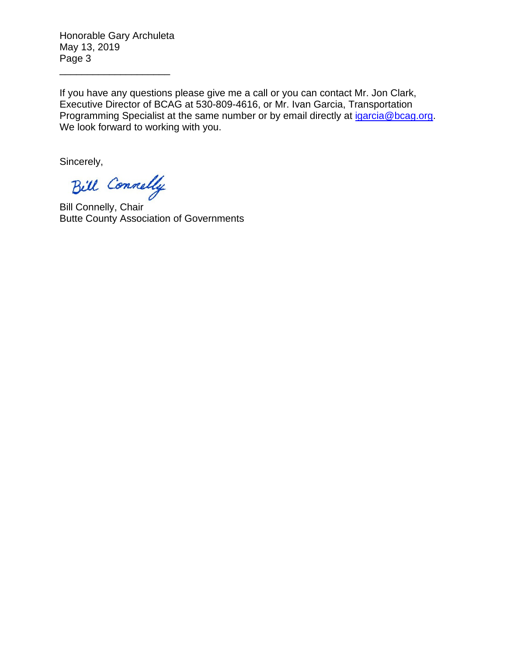Honorable Gary Archuleta May 13, 2019 Page 3

\_\_\_\_\_\_\_\_\_\_\_\_\_\_\_\_\_\_\_\_

If you have any questions please give me a call or you can contact Mr. Jon Clark, Executive Director of BCAG at 530-809-4616, or Mr. Ivan Garcia, Transportation Programming Specialist at the same number or by email directly at [igarcia@bcag.org.](mailto:igarcia@bcag.org) We look forward to working with you.

Bill Connelly

Bill Connelly, Chair Butte County Association of Governments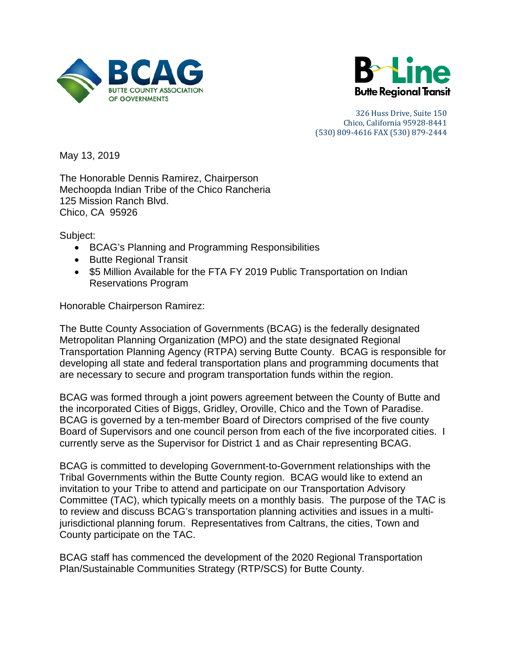



May 13, 2019

The Honorable Dennis Ramirez, Chairperson Mechoopda Indian Tribe of the Chico Rancheria 125 Mission Ranch Blvd. Chico, CA 95926

Subject:

- BCAG's Planning and Programming Responsibilities
- Butte Regional Transit
- \$5 Million Available for the FTA FY 2019 Public Transportation on Indian Reservations Program

Honorable Chairperson Ramirez:

The Butte County Association of Governments (BCAG) is the federally designated Metropolitan Planning Organization (MPO) and the state designated Regional Transportation Planning Agency (RTPA) serving Butte County. BCAG is responsible for developing all state and federal transportation plans and programming documents that are necessary to secure and program transportation funds within the region.

BCAG was formed through a joint powers agreement between the County of Butte and the incorporated Cities of Biggs, Gridley, Oroville, Chico and the Town of Paradise. BCAG is governed by a ten-member Board of Directors comprised of the five county Board of Supervisors and one council person from each of the five incorporated cities. I currently serve as the Supervisor for District 1 and as Chair representing BCAG.

BCAG is committed to developing Government-to-Government relationships with the Tribal Governments within the Butte County region. BCAG would like to extend an invitation to your Tribe to attend and participate on our Transportation Advisory Committee (TAC), which typically meets on a monthly basis. The purpose of the TAC is to review and discuss BCAG's transportation planning activities and issues in a multijurisdictional planning forum. Representatives from Caltrans, the cities, Town and County participate on the TAC.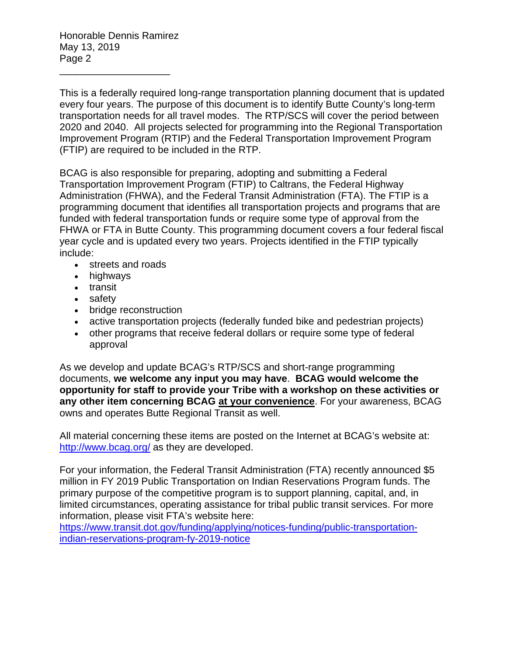Honorable Dennis Ramirez May 13, 2019 Page 2

\_\_\_\_\_\_\_\_\_\_\_\_\_\_\_\_\_\_\_\_

This is a federally required long-range transportation planning document that is updated every four years. The purpose of this document is to identify Butte County's long-term transportation needs for all travel modes. The RTP/SCS will cover the period between 2020 and 2040. All projects selected for programming into the Regional Transportation Improvement Program (RTIP) and the Federal Transportation Improvement Program (FTIP) are required to be included in the RTP.

BCAG is also responsible for preparing, adopting and submitting a Federal Transportation Improvement Program (FTIP) to [Caltrans,](http://www.dot.ca.gov/) the Federal Highway Administration [\(FHWA\)](http://www.fhwa.dot.gov/tea21/), and the Federal Transit Administration [\(FTA\)](http://www.fta.dot.gov/). The FTIP is a programming document that identifies all transportation projects and programs that are funded with federal transportation funds or require some type of approval from the FHWA or FTA in Butte County. This programming document covers a four federal fiscal year cycle and is updated every two years. Projects identified in the FTIP typically include:

- streets and roads
- highways
- transit
- safety
- bridge reconstruction
- active transportation projects (federally funded bike and pedestrian projects)
- other programs that receive federal dollars or require some type of federal approval

As we develop and update BCAG's RTP/SCS and short-range programming documents, **we welcome any input you may have**. **BCAG would welcome the opportunity for staff to provide your Tribe with a workshop on these activities or any other item concerning BCAG at your convenience**. For your awareness, BCAG owns and operates Butte Regional Transit as well.

All material concerning these items are posted on the Internet at BCAG's website at: <http://www.bcag.org/> as they are developed.

For your information, the Federal Transit Administration (FTA) recently announced \$5 million in FY 2019 Public Transportation on Indian Reservations Program funds. The primary purpose of the competitive program is to support planning, capital, and, in limited circumstances, operating assistance for tribal public transit services. For more information, please visit FTA's website here: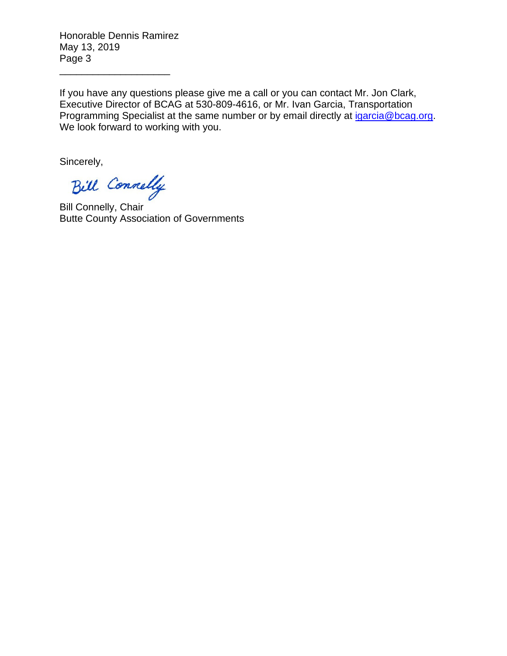Honorable Dennis Ramirez May 13, 2019 Page 3

\_\_\_\_\_\_\_\_\_\_\_\_\_\_\_\_\_\_\_\_

If you have any questions please give me a call or you can contact Mr. Jon Clark, Executive Director of BCAG at 530-809-4616, or Mr. Ivan Garcia, Transportation Programming Specialist at the same number or by email directly at [igarcia@bcag.org.](mailto:igarcia@bcag.org) We look forward to working with you.

Bill Connelly

Bill Connelly, Chair Butte County Association of Governments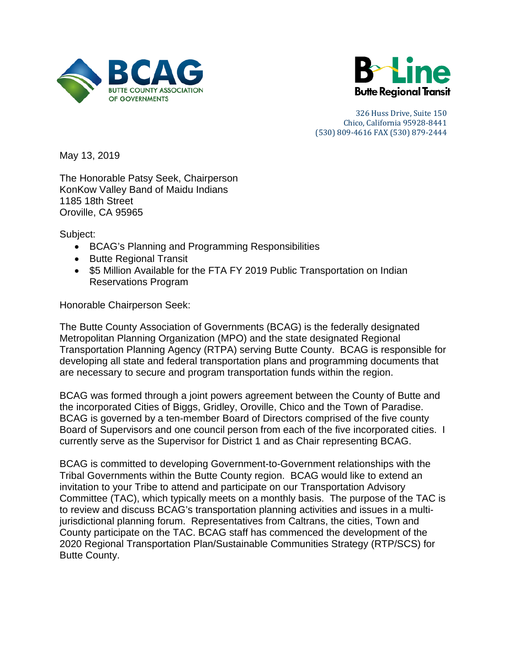



May 13, 2019

The Honorable Patsy Seek, Chairperson KonKow Valley Band of Maidu Indians 1185 18th Street Oroville, CA 95965

Subject:

- BCAG's Planning and Programming Responsibilities
- Butte Regional Transit
- \$5 Million Available for the FTA FY 2019 Public Transportation on Indian Reservations Program

Honorable Chairperson Seek:

The Butte County Association of Governments (BCAG) is the federally designated Metropolitan Planning Organization (MPO) and the state designated Regional Transportation Planning Agency (RTPA) serving Butte County. BCAG is responsible for developing all state and federal transportation plans and programming documents that are necessary to secure and program transportation funds within the region.

BCAG was formed through a joint powers agreement between the County of Butte and the incorporated Cities of Biggs, Gridley, Oroville, Chico and the Town of Paradise. BCAG is governed by a ten-member Board of Directors comprised of the five county Board of Supervisors and one council person from each of the five incorporated cities. I currently serve as the Supervisor for District 1 and as Chair representing BCAG.

BCAG is committed to developing Government-to-Government relationships with the Tribal Governments within the Butte County region. BCAG would like to extend an invitation to your Tribe to attend and participate on our Transportation Advisory Committee (TAC), which typically meets on a monthly basis. The purpose of the TAC is to review and discuss BCAG's transportation planning activities and issues in a multijurisdictional planning forum. Representatives from Caltrans, the cities, Town and County participate on the TAC. BCAG staff has commenced the development of the 2020 Regional Transportation Plan/Sustainable Communities Strategy (RTP/SCS) for Butte County.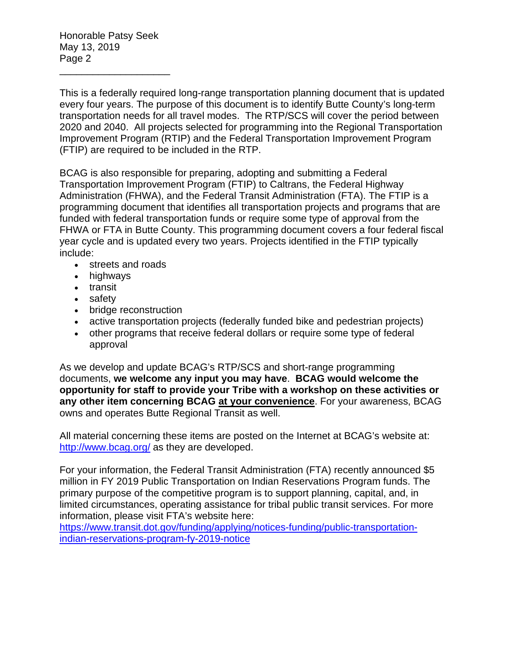Honorable Patsy Seek May 13, 2019 Page 2

\_\_\_\_\_\_\_\_\_\_\_\_\_\_\_\_\_\_\_\_

This is a federally required long-range transportation planning document that is updated every four years. The purpose of this document is to identify Butte County's long-term transportation needs for all travel modes. The RTP/SCS will cover the period between 2020 and 2040. All projects selected for programming into the Regional Transportation Improvement Program (RTIP) and the Federal Transportation Improvement Program (FTIP) are required to be included in the RTP.

BCAG is also responsible for preparing, adopting and submitting a Federal Transportation Improvement Program (FTIP) to [Caltrans,](http://www.dot.ca.gov/) the Federal Highway Administration [\(FHWA\)](http://www.fhwa.dot.gov/tea21/), and the Federal Transit Administration [\(FTA\)](http://www.fta.dot.gov/). The FTIP is a programming document that identifies all transportation projects and programs that are funded with federal transportation funds or require some type of approval from the FHWA or FTA in Butte County. This programming document covers a four federal fiscal year cycle and is updated every two years. Projects identified in the FTIP typically include:

- streets and roads
- highways
- transit
- safety
- bridge reconstruction
- active transportation projects (federally funded bike and pedestrian projects)
- other programs that receive federal dollars or require some type of federal approval

As we develop and update BCAG's RTP/SCS and short-range programming documents, **we welcome any input you may have**. **BCAG would welcome the opportunity for staff to provide your Tribe with a workshop on these activities or any other item concerning BCAG at your convenience**. For your awareness, BCAG owns and operates Butte Regional Transit as well.

All material concerning these items are posted on the Internet at BCAG's website at: <http://www.bcag.org/> as they are developed.

For your information, the Federal Transit Administration (FTA) recently announced \$5 million in FY 2019 Public Transportation on Indian Reservations Program funds. The primary purpose of the competitive program is to support planning, capital, and, in limited circumstances, operating assistance for tribal public transit services. For more information, please visit FTA's website here: